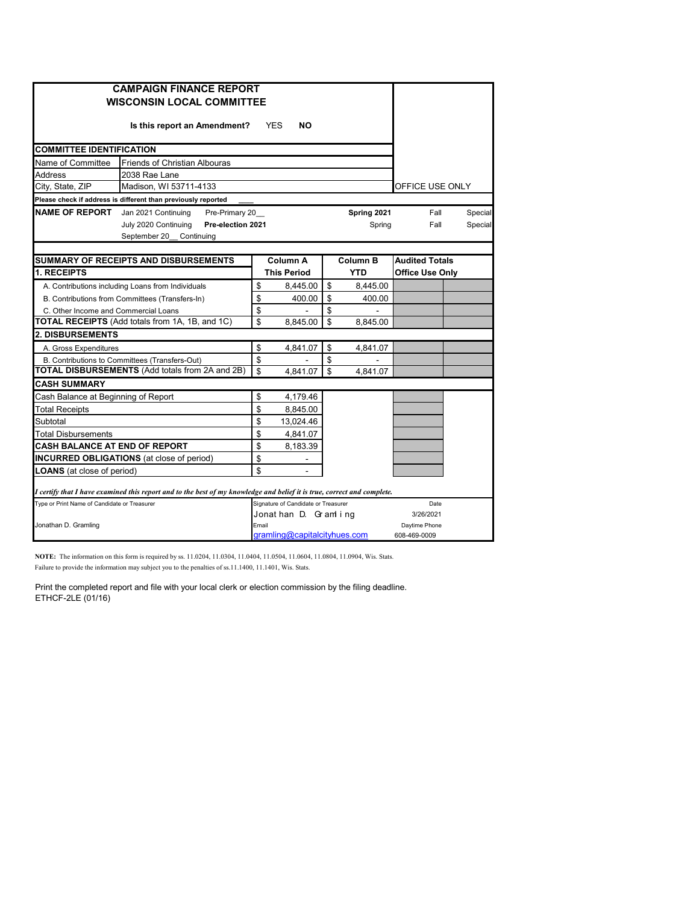|                                                   | <b>CAMPAIGN FINANCE REPORT</b>                                                                                          |       |                                       |                               |                                                 |         |
|---------------------------------------------------|-------------------------------------------------------------------------------------------------------------------------|-------|---------------------------------------|-------------------------------|-------------------------------------------------|---------|
|                                                   | <b>WISCONSIN LOCAL COMMITTEE</b>                                                                                        |       |                                       |                               |                                                 |         |
|                                                   |                                                                                                                         |       |                                       |                               |                                                 |         |
|                                                   | Is this report an Amendment?                                                                                            |       | <b>YES</b><br><b>NO</b>               |                               |                                                 |         |
| <b>COMMITTEE IDENTIFICATION</b>                   |                                                                                                                         |       |                                       |                               |                                                 |         |
| Name of Committee                                 | <b>Friends of Christian Albouras</b>                                                                                    |       |                                       |                               |                                                 |         |
| <b>Address</b>                                    | 2038 Rae Lane                                                                                                           |       |                                       |                               |                                                 |         |
| City, State, ZIP                                  | Madison, WI 53711-4133                                                                                                  |       |                                       |                               | OFFICE USE ONLY                                 |         |
|                                                   | Please check if address is different than previously reported                                                           |       |                                       |                               |                                                 |         |
| <b>NAME OF REPORT</b> Jan 2021 Continuing         | Pre-Primary 20                                                                                                          |       |                                       | Spring 2021                   | Fall                                            | Special |
|                                                   | July 2020 Continuing<br>Pre-election 2021                                                                               |       |                                       | Spring                        | Fall                                            | Special |
|                                                   | September 20<br>Continuing                                                                                              |       |                                       |                               |                                                 |         |
|                                                   |                                                                                                                         |       |                                       |                               |                                                 |         |
| 1. RECEIPTS                                       | <b>SUMMARY OF RECEIPTS AND DISBURSEMENTS</b>                                                                            |       | <b>Column A</b><br><b>This Period</b> | <b>Column B</b><br><b>YTD</b> | <b>Audited Totals</b><br><b>Office Use Only</b> |         |
| A. Contributions including Loans from Individuals |                                                                                                                         | \$    | 8,445.00                              | \$<br>8,445.00                |                                                 |         |
| B. Contributions from Committees (Transfers-In)   |                                                                                                                         | \$    | 400.00                                | \$<br>400.00                  |                                                 |         |
| C. Other Income and Commercial Loans              |                                                                                                                         | \$    |                                       | \$                            |                                                 |         |
|                                                   | TOTAL RECEIPTS (Add totals from 1A, 1B, and 1C)                                                                         | \$    | 8.845.00                              | \$<br>8.845.00                |                                                 |         |
| 2. DISBURSEMENTS                                  |                                                                                                                         |       |                                       |                               |                                                 |         |
| A. Gross Expenditures                             |                                                                                                                         | \$    | 4,841.07                              | \$<br>4,841.07                |                                                 |         |
| B. Contributions to Committees (Transfers-Out)    |                                                                                                                         | \$    |                                       | \$                            |                                                 |         |
|                                                   | <b>TOTAL DISBURSEMENTS (Add totals from 2A and 2B)</b>                                                                  | \$    | 4.841.07                              | \$<br>4.841.07                |                                                 |         |
| <b>CASH SUMMARY</b>                               |                                                                                                                         |       |                                       |                               |                                                 |         |
| Cash Balance at Beginning of Report               |                                                                                                                         | \$    | 4,179.46                              |                               |                                                 |         |
| <b>Total Receipts</b>                             |                                                                                                                         | \$    | 8,845.00                              |                               |                                                 |         |
| Subtotal                                          |                                                                                                                         | \$    | 13,024.46                             |                               |                                                 |         |
| <b>Total Disbursements</b>                        |                                                                                                                         | \$    | 4,841.07                              |                               |                                                 |         |
| <b>CASH BALANCE AT END OF REPORT</b>              |                                                                                                                         | \$    | 8,183.39                              |                               |                                                 |         |
| <b>INCURRED OBLIGATIONS</b> (at close of period)  |                                                                                                                         | \$    |                                       |                               |                                                 |         |
| <b>LOANS</b> (at close of period)                 |                                                                                                                         | \$    | ä,                                    |                               |                                                 |         |
|                                                   | I certify that I have examined this report and to the best of my knowledge and belief it is true, correct and complete. |       |                                       |                               |                                                 |         |
| Type or Print Name of Candidate or Treasurer      |                                                                                                                         |       | Signature of Candidate or Treasurer   |                               | Date                                            |         |
|                                                   |                                                                                                                         |       | Jonathan D. Gramling                  |                               | 3/26/2021                                       |         |
| Jonathan D. Gramling                              |                                                                                                                         | Email |                                       |                               | Daytime Phone                                   |         |
|                                                   |                                                                                                                         |       | gramling@capitalcityhues.com          |                               | 608-469-0009                                    |         |

**NOTE:** The information on this form is required by ss. 11.0204, 11.0304, 11.0404, 11.0504, 11.0604, 11.0804, 11.0904, Wis. Stats. Failure to provide the information may subject you to the penalties of ss.11.1400, 11.1401, Wis. Stats.

Print the completed report and file with your local clerk or election commission by the filing deadline. ETHCF-2LE (01/16)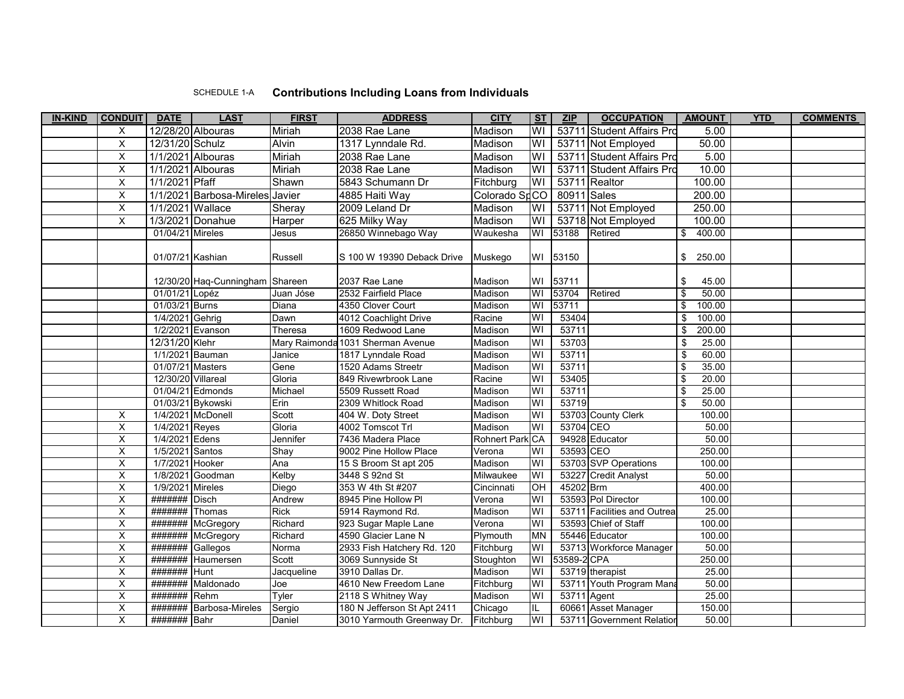## SCHEDULE 1-A **Contributions Including Loans from Individuals**

| <b>IN-KIND</b> | <b>CONDUIT</b>          | <b>DATE</b>        | <b>LAST</b>                     | <b>FIRST</b> | <b>ADDRESS</b>              | <b>CITY</b>         | <b>ST</b>               | ZIP         | <b>OCCUPATION</b>           | <b>AMOUNT</b>                    | <b>YTD</b> | <b>COMMENTS</b> |
|----------------|-------------------------|--------------------|---------------------------------|--------------|-----------------------------|---------------------|-------------------------|-------------|-----------------------------|----------------------------------|------------|-----------------|
|                | Χ                       |                    | 12/28/20 Albouras               | Miriah       | 2038 Rae Lane               | Madison             | WI                      |             | 53711 Student Affairs Pro   | 5.00                             |            |                 |
|                | X                       | 12/31/20 Schulz    |                                 | <b>Alvin</b> | 1317 Lynndale Rd.           | Madison             | WI                      |             | 53711 Not Employed          | 50.00                            |            |                 |
|                | $\overline{X}$          |                    | 1/1/2021 Albouras               | Miriah       | 2038 Rae Lane               | Madison             | WI                      |             | 53711 Student Affairs Pro   | 5.00                             |            |                 |
|                | X                       |                    | 1/1/2021 Albouras               | Miriah       | 2038 Rae Lane               | Madison             | WI                      |             | 53711 Student Affairs Pro   | 10.00                            |            |                 |
|                | X                       | 1/1/2021 Pfaff     |                                 | Shawn        | 5843 Schumann Dr            | Fitchburg           | WI                      |             | 53711 Realtor               | 100.00                           |            |                 |
|                | X                       |                    | 1/1/2021 Barbosa-Mireles Javier |              | 4885 Haiti Way              | Colorado SpCO       |                         | 80911 Sales |                             | 200.00                           |            |                 |
|                | $\overline{X}$          | 1/1/2021 Wallace   |                                 | Sheray       | 2009 Leland Dr              | Madison             | WI                      |             | 53711 Not Employed          | 250.00                           |            |                 |
|                | $\overline{X}$          |                    | 1/3/2021 Donahue                | Harper       | 625 Milky Way               | Madison             | WI                      |             | 53718 Not Employed          | 100.00                           |            |                 |
|                |                         | 01/04/21 Mireles   |                                 | Jesus        | 26850 Winnebago Way         | Waukesha            | WI                      | 53188       | Retired                     | 400.00<br>\$                     |            |                 |
|                |                         |                    |                                 |              |                             |                     |                         |             |                             |                                  |            |                 |
|                |                         | 01/07/21 Kashian   |                                 | Russell      | S 100 W 19390 Deback Drive  | Muskego             | WI                      | 53150       |                             | \$<br>250.00                     |            |                 |
|                |                         |                    |                                 |              |                             |                     |                         |             |                             |                                  |            |                 |
|                |                         |                    | 12/30/20 Haq-Cunningham         | Shareen      | 2037 Rae Lane               | Madison             | WI                      | 53711       |                             | \$<br>45.00                      |            |                 |
|                |                         | 01/01/21 Lopéz     |                                 | Juan Jóse    | 2532 Fairfield Place        | Madison             | WI                      | 53704       | Retired                     | $\overline{\mathbf{s}}$<br>50.00 |            |                 |
|                |                         | 01/03/21 Burns     |                                 | Diana        | 4350 Clover Court           | Madison             | $\overline{\mathsf{W}}$ | 53711       |                             | 100.00<br>\$                     |            |                 |
|                |                         | 1/4/2021 Gehrig    |                                 | Dawn         | 4012 Coachlight Drive       | Racine              | WI                      | 53404       |                             | 100.00<br>\$                     |            |                 |
|                |                         |                    | 1/2/2021 Evanson                | Theresa      | 1609 Redwood Lane           | Madison             | WI                      | 53711       |                             | 200.00<br>\$                     |            |                 |
|                |                         | 12/31/20 Klehr     |                                 | Mary Raimono | a 1031 Sherman Avenue       | Madison             | WI                      | 53703       |                             | \$<br>25.00                      |            |                 |
|                |                         | 1/1/2021 Bauman    |                                 | Janice       | 1817 Lynndale Road          | Madison             | WI                      | 53711       |                             | 60.00<br>\$                      |            |                 |
|                |                         | 01/07/21 Masters   |                                 | Gene         | 1520 Adams Streetr          | Madison             | WI                      | 53711       |                             | 35.00<br>\$                      |            |                 |
|                |                         | 12/30/20 Villareal |                                 | Gloria       | 849 Rivewrbrook Lane        | Racine              | WI                      | 53405       |                             | $\overline{\$}$<br>20.00         |            |                 |
|                |                         |                    | 01/04/21 Edmonds                | Michael      | 5509 Russett Road           | Madison             | WI                      | 53711       |                             | $\sqrt{3}$<br>25.00              |            |                 |
|                |                         |                    | 01/03/21 Bykowski               | Erin         | 2309 Whitlock Road          | Madison             | WI                      | 53719       |                             | \$<br>50.00                      |            |                 |
|                | X                       |                    | 1/4/2021 McDonell               | Scott        | 404 W. Doty Street          | Madison             | WI                      |             | 53703 County Clerk          | 100.00                           |            |                 |
|                | $\overline{\mathsf{x}}$ | 1/4/2021 Reyes     |                                 | Gloria       | 4002 Tomscot Trl            | Madison             | WI                      | 53704 CEO   |                             | 50.00                            |            |                 |
|                | X                       | 1/4/2021 Edens     |                                 | Jennifer     | 7436 Madera Place           | <b>Rohnert Park</b> | CA                      |             | 94928 Educator              | 50.00                            |            |                 |
|                | X                       | 1/5/2021 Santos    |                                 | Shay         | 9002 Pine Hollow Place      | Verona              | WI                      | 53593 CEO   |                             | 250.00                           |            |                 |
|                | $\overline{\mathsf{x}}$ | 1/7/2021 Hooker    |                                 | Ana          | 15 S Broom St apt 205       | Madison             | WI                      |             | 53703 SVP Operations        | 100.00                           |            |                 |
|                | X                       |                    | 1/8/2021 Goodman                | Kelby        | 3448 S 92nd St              | Milwaukee           | WI                      |             | 53227 Credit Analyst        | 50.00                            |            |                 |
|                | $\overline{\mathsf{X}}$ | 1/9/2021           | <b>Mireles</b>                  | Diego        | 353 W 4th St #207           | Cincinnati          | OH                      | 45202 Brm   |                             | 400.00                           |            |                 |
|                | X                       | #######            | <b>Disch</b>                    | Andrew       | 8945 Pine Hollow Pl         | Verona              | WI                      |             | 53593 Pol Director          | 100.00                           |            |                 |
|                | X                       | #######            | Thomas                          | <b>Rick</b>  | 5914 Raymond Rd.            | Madison             | WI                      |             | 53711 Facilities and Outrea | 25.00                            |            |                 |
|                | $\overline{\mathsf{x}}$ |                    | ####### McGregory               | Richard      | 923 Sugar Maple Lane        | Verona              | WI                      |             | 53593 Chief of Staff        | 100.00                           |            |                 |
|                | $\overline{\mathsf{x}}$ | #######            | McGregory                       | Richard      | 4590 Glacier Lane N         | Plymouth            | <b>MN</b>               |             | 55446 Educator              | 100.00                           |            |                 |
|                | X                       | #######            | Gallegos                        | Norma        | 2933 Fish Hatchery Rd. 120  | Fitchburg           | WI                      |             | 53713 Workforce Manager     | 50.00                            |            |                 |
|                | X                       | #######            | Haumersen                       | Scott        | 3069 Sunnyside St           | Stoughton           | WI                      | 53589-2 CPA |                             | 250.00                           |            |                 |
|                | $\overline{\mathsf{x}}$ | #######            | Hunt                            | Jacqueline   | 3910 Dallas Dr.             | Madison             | WI                      |             | 53719 therapist             | 25.00                            |            |                 |
|                | X                       | #######            | Maldonado                       | Joe          | 4610 New Freedom Lane       | Fitchburg           | l                       |             | 53711 Youth Program Man     | 50.00                            |            |                 |
|                | X                       | #######            | Rehm                            | Tyler        | 2118 S Whitney Way          | Madison             | WI                      |             | 53711 Agent                 | 25.00                            |            |                 |
|                | Χ                       | #######            | <b>Barbosa-Mireles</b>          | Sergio       | 180 N Jefferson St Apt 2411 | Chicago             | IL                      |             | 60661 Asset Manager         | 150.00                           |            |                 |
|                | X                       | ####### Bahr       |                                 | Daniel       | 3010 Yarmouth Greenway Dr.  | Fitchburg           | WI                      |             | 53711 Government Relation   | 50.00                            |            |                 |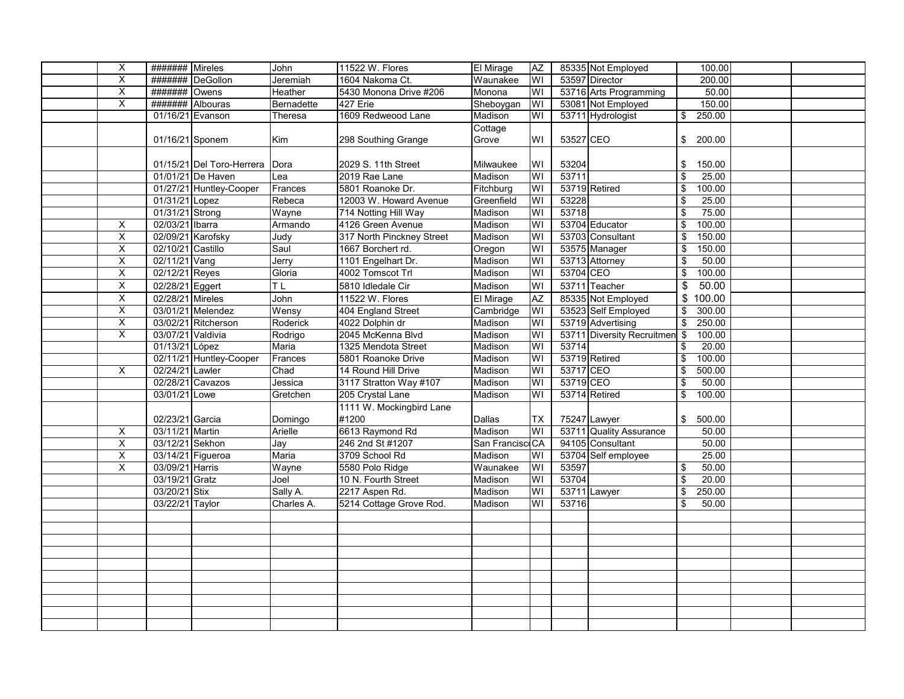| $\overline{\mathsf{x}}$ | <b>#######</b> Mireles |                           | John       | 11522 W. Flores           | El Mirage       | AZ                      |           | 85335 Not Employed         | 100.00                           |  |
|-------------------------|------------------------|---------------------------|------------|---------------------------|-----------------|-------------------------|-----------|----------------------------|----------------------------------|--|
| X                       | #######                | DeGollon                  | Jeremiah   | 1604 Nakoma Ct.           | Waunakee        | WI                      |           | 53597 Director             | 200.00                           |  |
| X                       | #######                | Owens                     | Heather    | 5430 Monona Drive #206    | Monona          | WI                      |           | 53716 Arts Programming     | 50.00                            |  |
| $\overline{\mathsf{x}}$ | #######                | Albouras                  | Bernadette | 427 Erie                  | Sheboygan       | WI                      |           | 53081 Not Employed         | 150.00                           |  |
|                         | 01/16/21 Evanson       |                           | Theresa    | 1609 Redweood Lane        | Madison         | W١                      |           | 53711 Hydrologist          | 250.00<br>\$                     |  |
|                         |                        |                           |            |                           | Cottage         |                         |           |                            |                                  |  |
|                         | 01/16/21 Sponem        |                           | Kim        | 298 Southing Grange       | Grove           | W١                      | 53527 CEO |                            | \$200.00                         |  |
|                         |                        |                           |            |                           |                 |                         |           |                            |                                  |  |
|                         |                        | 01/15/21 Del Toro-Herrera | Dora       | 2029 S. 11th Street       | Milwaukee       | WI                      | 53204     |                            | 150.00<br>\$                     |  |
|                         |                        | 01/01/21 De Haven         | Lea        | 2019 Rae Lane             | Madison         | W١                      | 53711     |                            | $\overline{\mathbf{s}}$<br>25.00 |  |
|                         |                        | 01/27/21 Huntley-Cooper   | Frances    | 5801 Roanoke Dr.          | Fitchburg       | WI                      |           | 53719 Retired              | 100.00<br>\$                     |  |
|                         | 01/31/21 Lopez         |                           | Rebeca     | 12003 W. Howard Avenue    | Greenfield      | WI                      | 53228     |                            | 25.00<br>\$                      |  |
|                         | 01/31/21 Strong        |                           | Wayne      | 714 Notting Hill Way      | Madison         | WI                      | 53718     |                            | 75.00<br>\$                      |  |
| X                       | 02/03/21 Ibarra        |                           | Armando    | 4126 Green Avenue         | Madison         | W١                      |           | 53704 Educator             | 100.00<br>\$                     |  |
| $\overline{\mathsf{x}}$ | 02/09/21 Karofsky      |                           | Judy       | 317 North Pinckney Street | Madison         | WI                      |           | 53703 Consultant           | 150.00<br>\$                     |  |
| $\overline{\mathsf{x}}$ | 02/10/21 Castillo      |                           | Saul       | 1667 Borchert rd.         | Oregon          | WI                      |           | 53575 Manager              | 150.00<br>\$                     |  |
| $\overline{\mathsf{x}}$ | 02/11/21 Vang          |                           | Jerry      | 1101 Engelhart Dr.        | Madison         | WI                      |           | 53713 Attorney             | 50.00<br>\$                      |  |
| $\overline{\mathsf{x}}$ | 02/12/21 Reyes         |                           | Gloria     | 4002 Tomscot Trl          | Madison         | WI                      | 53704 CEO |                            | 100.00<br>\$                     |  |
| $\overline{\mathsf{x}}$ | 02/28/21 Eggert        |                           | <b>TL</b>  | 5810 Idledale Cir         | Madison         | $\overline{3}$          |           | 53711 Teacher              | 50.00<br>\$                      |  |
| X                       | 02/28/21 Mireles       |                           | John       | 11522 W. Flores           | El Mirage       | AZ                      |           | 85335 Not Employed         | 100.00<br>\$                     |  |
| X                       |                        | 03/01/21 Melendez         | Wensy      | 404 England Street        | Cambridge       | WI                      |           | 53523 Self Employed        | 300.00<br>\$                     |  |
| X                       |                        | 03/02/21 Ritcherson       | Roderick   | 4022 Dolphin dr           | Madison         | WI                      |           | 53719 Advertising          | 250.00<br>\$                     |  |
| X                       | 03/07/21 Valdivia      |                           | Rodrigo    | 2045 McKenna Blvd         | Madison         | W١                      |           | 53711 Diversity Recruitmen | 100.00<br>$\sqrt{3}$             |  |
|                         | 01/13/21 López         |                           | Maria      | 1325 Mendota Street       | Madison         | WI                      | 53714     |                            | 20.00<br>\$                      |  |
|                         |                        | 02/11/21 Huntley-Cooper   | Frances    | 5801 Roanoke Drive        | Madison         | W١                      |           | 53719 Retired              | 100.00<br>\$                     |  |
| X                       | 02/24/21               | Lawler                    | Chad       | 14 Round Hill Drive       | Madison         | WI                      | 53717 CEO |                            | 500.00<br>\$                     |  |
|                         | 02/28/21               | Cavazos                   | Jessica    | 3117 Stratton Way #107    | Madison         | WI                      | 53719 CEO |                            | 50.00<br>\$                      |  |
|                         | 03/01/21 Lowe          |                           | Gretchen   | 205 Crystal Lane          | Madison         | W١                      |           | 53714 Retired              | 100.00<br>\$                     |  |
|                         |                        |                           |            | 1111 W. Mockingbird Lane  |                 |                         |           |                            |                                  |  |
|                         | 02/23/21 Garcia        |                           | Domingo    | #1200                     | Dallas          | ТX                      |           | 75247 Lawyer               | \$<br>500.00                     |  |
| X                       | 03/11/21 Martin        |                           | Arielle    | 6613 Raymond Rd           | Madison         | WI                      |           | 53711 Quality Assurance    | 50.00                            |  |
| $\overline{\mathsf{x}}$ | 03/12/21 Sekhon        |                           | Jay        | 246 2nd St #1207          | San Francisc CA |                         |           | 94105 Consultant           | 50.00                            |  |
| X                       |                        | 03/14/21 Figueroa         | Maria      | 3709 School Rd            | Madison         | W١                      |           | 53704 Self employee        | 25.00                            |  |
| X                       | 03/09/21 Harris        |                           | Wayne      | 5580 Polo Ridge           | Waunakee        | $\overline{\mathsf{W}}$ | 53597     |                            | 50.00<br>\$                      |  |
|                         | 03/19/21 Gratz         |                           | Joel       | 10 N. Fourth Street       | Madison         | WI                      | 53704     |                            | $\overline{\mathbf{S}}$<br>20.00 |  |
|                         | 03/20/21 Stix          |                           | Sally A.   | 2217 Aspen Rd.            | Madison         | W١                      |           | 53711 Lawyer               | 250.00<br>\$                     |  |
|                         | 03/22/21 Taylor        |                           | Charles A. | 5214 Cottage Grove Rod.   | Madison         | W١                      | 53716     |                            | 50.00<br>\$                      |  |
|                         |                        |                           |            |                           |                 |                         |           |                            |                                  |  |
|                         |                        |                           |            |                           |                 |                         |           |                            |                                  |  |
|                         |                        |                           |            |                           |                 |                         |           |                            |                                  |  |
|                         |                        |                           |            |                           |                 |                         |           |                            |                                  |  |
|                         |                        |                           |            |                           |                 |                         |           |                            |                                  |  |
|                         |                        |                           |            |                           |                 |                         |           |                            |                                  |  |
|                         |                        |                           |            |                           |                 |                         |           |                            |                                  |  |
|                         |                        |                           |            |                           |                 |                         |           |                            |                                  |  |
|                         |                        |                           |            |                           |                 |                         |           |                            |                                  |  |
|                         |                        |                           |            |                           |                 |                         |           |                            |                                  |  |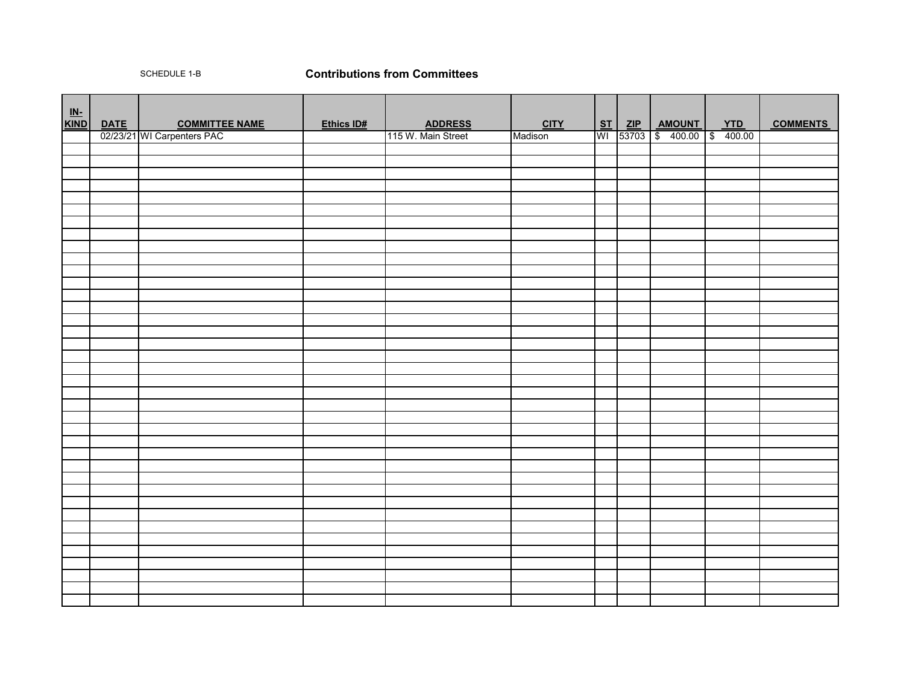## SCHEDULE 1-B **Contributions from Committees**

| $\underline{\mathsf{IN}}$ |                                                   |            |                    |             |  |                              |            |                 |
|---------------------------|---------------------------------------------------|------------|--------------------|-------------|--|------------------------------|------------|-----------------|
| <b>KIND</b>               | DATE COMMITTEE NAME<br>02/23/21 WI Carpenters PAC | Ethics ID# | <b>ADDRESS</b>     | <b>CITY</b> |  | ST ZIP AMOUNT                | <b>YTD</b> | <b>COMMENTS</b> |
|                           |                                                   |            | 115 W. Main Street | Madison     |  | WI 53703 \$ 400.00 \$ 400.00 |            |                 |
|                           |                                                   |            |                    |             |  |                              |            |                 |
|                           |                                                   |            |                    |             |  |                              |            |                 |
|                           |                                                   |            |                    |             |  |                              |            |                 |
|                           |                                                   |            |                    |             |  |                              |            |                 |
|                           |                                                   |            |                    |             |  |                              |            |                 |
|                           |                                                   |            |                    |             |  |                              |            |                 |
|                           |                                                   |            |                    |             |  |                              |            |                 |
|                           |                                                   |            |                    |             |  |                              |            |                 |
|                           |                                                   |            |                    |             |  |                              |            |                 |
|                           |                                                   |            |                    |             |  |                              |            |                 |
|                           |                                                   |            |                    |             |  |                              |            |                 |
|                           |                                                   |            |                    |             |  |                              |            |                 |
|                           |                                                   |            |                    |             |  |                              |            |                 |
|                           |                                                   |            |                    |             |  |                              |            |                 |
|                           |                                                   |            |                    |             |  |                              |            |                 |
|                           |                                                   |            |                    |             |  |                              |            |                 |
|                           |                                                   |            |                    |             |  |                              |            |                 |
|                           |                                                   |            |                    |             |  |                              |            |                 |
|                           |                                                   |            |                    |             |  |                              |            |                 |
|                           |                                                   |            |                    |             |  |                              |            |                 |
|                           |                                                   |            |                    |             |  |                              |            |                 |
|                           |                                                   |            |                    |             |  |                              |            |                 |
|                           |                                                   |            |                    |             |  |                              |            |                 |
|                           |                                                   |            |                    |             |  |                              |            |                 |
|                           |                                                   |            |                    |             |  |                              |            |                 |
|                           |                                                   |            |                    |             |  |                              |            |                 |
|                           |                                                   |            |                    |             |  |                              |            |                 |
|                           |                                                   |            |                    |             |  |                              |            |                 |
|                           |                                                   |            |                    |             |  |                              |            |                 |
|                           |                                                   |            |                    |             |  |                              |            |                 |
|                           |                                                   |            |                    |             |  |                              |            |                 |
|                           |                                                   |            |                    |             |  |                              |            |                 |
|                           |                                                   |            |                    |             |  |                              |            |                 |
|                           |                                                   |            |                    |             |  |                              |            |                 |
|                           |                                                   |            |                    |             |  |                              |            |                 |
|                           |                                                   |            |                    |             |  |                              |            |                 |
|                           |                                                   |            |                    |             |  |                              |            |                 |